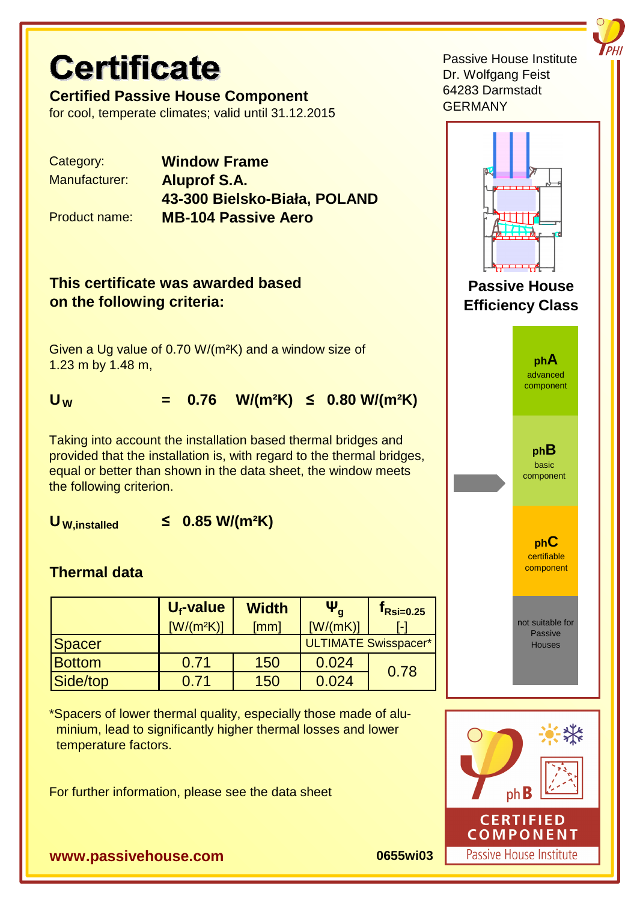# **Certificate**

**Certified Passive House Component**  for cool, temperate climates; valid until 31.12.2015

Category: **Window Frame** Manufacturer: **Aluprof S.A. 43-300 Bielsko-Biała, POLAND** Product name: **MB-104 Passive Aero**

**This certificate was awarded based on the following criteria:**

Given a Ug value of 0.70 W/(m²K) and a window size of 1.23 m by 1.48 m,

 $U_w$  **= 0.76 W/(m<sup>2</sup>K)**  $\leq$  **0.80 W/(m<sup>2</sup>K)** 

Taking into account the installation based thermal bridges and provided that the installation is, with regard to the thermal bridges, equal or better than shown in the data sheet, the window meets the following criterion.

**U W,installed ≤ 0.85 W/(m²K)**

## **Thermal data**

|               | $U_f$ -value<br>$[W/(m^2K)]$ | <b>Width</b><br>[mm] | $\Psi_a$<br>[W/(mK)] | $\mathbf{r}_{\mathsf{Rsi=0.25}}$ |
|---------------|------------------------------|----------------------|----------------------|----------------------------------|
| Spacer        |                              |                      |                      | ULTIMATE Swisspacer*             |
| <b>Bottom</b> | 0.71                         | 150                  | 0.024                | 0.78                             |
| Side/top      | 0.71                         | 150                  | 0.024                |                                  |

\*Spacers of lower thermal quality, especially those made of alu minium, lead to significantly higher thermal losses and lower temperature factors.

For further information, please see the data sheet

Passive House Institute Dr. Wolfgang Feist 64283 Darmstadt **GERMANY** 



Passive House Institute

**www.passivehouse.com 0655wi03**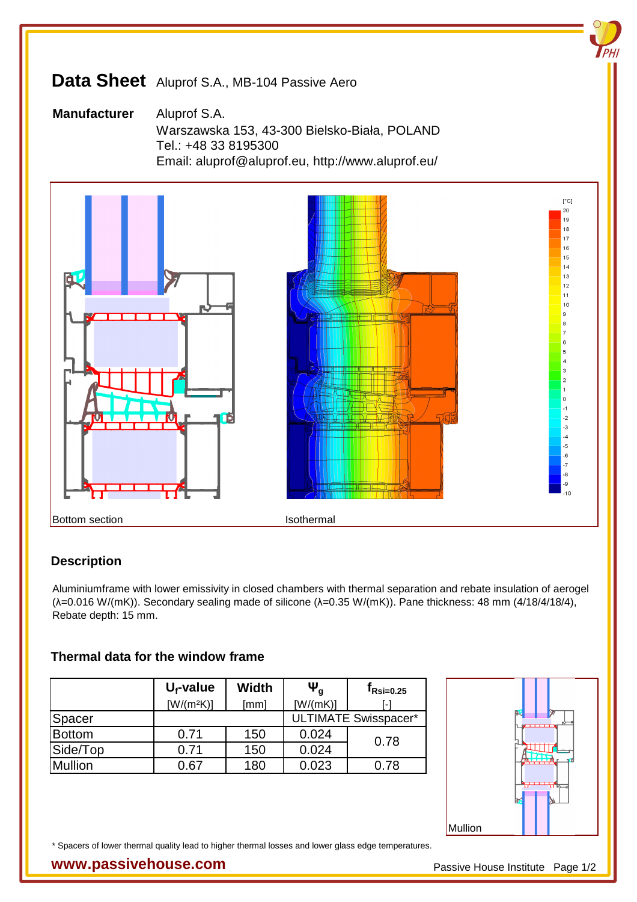# **Data Sheet** Aluprof S.A., MB-104 Passive Aero

**Manufacturer** Aluprof S.A. Warszawska 153, 43-300 Bielsko-Biała, POLAND Tel.: +48 33 8195300 Email: aluprof@aluprof.eu, http://www.aluprof.eu/



#### **Description**

Aluminiumframe with lower emissivity in closed chambers with thermal separation and rebate insulation of aerogel (λ=0.016 W/(mK)). Secondary sealing made of silicone (λ=0.35 W/(mK)). Pane thickness: 48 mm (4/18/4/18/4), Rebate depth: 15 mm.

#### **Thermal data for the window frame**

|                | $U_f$ -value | <b>Width</b> | $\Psi_{\alpha}$ | $\mathsf{t}_{\mathsf{Rsi=0.25}}$ |
|----------------|--------------|--------------|-----------------|----------------------------------|
|                | $[W/(m^2K)]$ | [mm]         | [W/(mK)]        |                                  |
| Spacer         |              |              |                 | <b>ULTIMATE Swisspacer*</b>      |
| <b>Bottom</b>  | 0.71         | 150          | 0.024           | 0.78                             |
| Side/Top       | 0.71         | 150          | 0.024           |                                  |
| <b>Mullion</b> | 0.67         | 180          | 0.023           | 0.78                             |



\* Spacers of lower thermal quality lead to higher thermal losses and lower glass edge temperatures.

#### **WWW.passivehouse.com Passive House Institute Page 1/2**